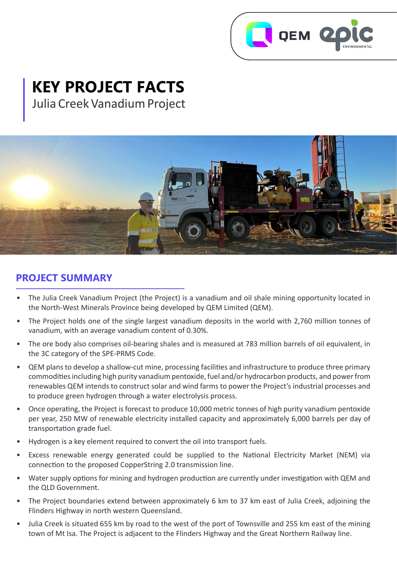

# **KEY PROJECT FACTS** Julia Creek Vanadium Project

# **PROJECT SUMMARY**

- The Julia Creek Vanadium Project (the Project) is a vanadium and oil shale mining opportunity located in the North-West Minerals Province being developed by QEM Limited (QEM).
- The Project holds one of the single largest vanadium deposits in the world with 2,760 million tonnes of vanadium, with an average vanadium content of 0.30%.
- The ore body also comprises oil-bearing shales and is measured at 783 million barrels of oil equivalent, in the 3C category of the SPE-PRMS Code.
- QEM plans to develop a shallow-cut mine, processing facilities and infrastructure to produce three primary commodities including high purity vanadium pentoxide, fuel and/or hydrocarbon products, and power from renewables QEM intends to construct solar and wind farms to power the Project's industrial processes and to produce green hydrogen through a water electrolysis process.
- Once operating, the Project is forecast to produce 10,000 metric tonnes of high purity vanadium pentoxide per year, 250 MW of renewable electricity installed capacity and approximately 6,000 barrels per day of transportation grade fuel.
- Hydrogen is a key element required to convert the oil into transport fuels.
- Excess renewable energy generated could be supplied to the National Electricity Market (NEM) via connection to the proposed CopperString 2.0 transmission line.
- Water supply options for mining and hydrogen production are currently under investigation with QEM and the QLD Government.
- The Project boundaries extend between approximately 6 km to 37 km east of Julia Creek, adjoining the Flinders Highway in north western Queensland.
- Julia Creek is situated 655 km by road to the west of the port of Townsville and 255 km east of the mining town of Mt Isa. The Project is adjacent to the Flinders Highway and the Great Northern Railway line.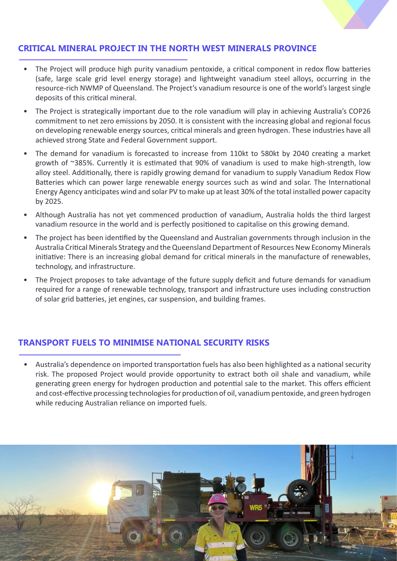## **CRITICAL MINERAL PROJECT IN THE NORTH WEST MINERALS PROVINCE**

- The Project will produce high purity vanadium pentoxide, a critical component in redox flow batteries (safe, large scale grid level energy storage) and lightweight vanadium steel alloys, occurring in the resource-rich NWMP of Queensland. The Project's vanadium resource is one of the world's largest single deposits of this critical mineral.
- The Project is strategically important due to the role vanadium will play in achieving Australia's COP26 commitment to net zero emissions by 2050. It is consistent with the increasing global and regional focus on developing renewable energy sources, critical minerals and green hydrogen. These industries have all achieved strong State and Federal Government support.
- The demand for vanadium is forecasted to increase from 110kt to 580kt by 2040 creating a market growth of ~385%. Currently it is estimated that 90% of vanadium is used to make high-strength, low alloy steel. Additionally, there is rapidly growing demand for vanadium to supply Vanadium Redox Flow Batteries which can power large renewable energy sources such as wind and solar. The International Energy Agency anticipates wind and solar PV to make up at least 30% of the total installed power capacity by 2025.
- Although Australia has not yet commenced production of vanadium, Australia holds the third largest vanadium resource in the world and is perfectly positioned to capitalise on this growing demand.
- The project has been identified by the Queensland and Australian governments through inclusion in the Australia Critical Minerals Strategy and the Queensland Department of Resources New Economy Minerals initiative: There is an increasing global demand for critical minerals in the manufacture of renewables, technology, and infrastructure.
- The Project proposes to take advantage of the future supply deficit and future demands for vanadium required for a range of renewable technology, transport and infrastructure uses including construction of solar grid batteries, jet engines, car suspension, and building frames.

#### **TRANSPORT FUELS TO MINIMISE NATIONAL SECURITY RISKS**

• Australia's dependence on imported transportation fuels has also been highlighted as a national security risk. The proposed Project would provide opportunity to extract both oil shale and vanadium, while generating green energy for hydrogen production and potential sale to the market. This offers efficient and cost-effective processing technologies for production of oil, vanadium pentoxide, and green hydrogen while reducing Australian reliance on imported fuels.